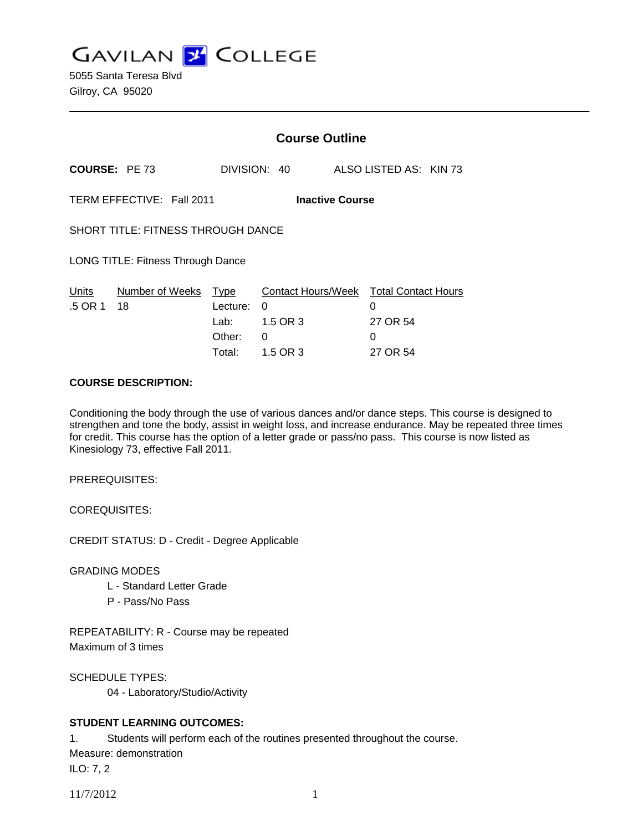**GAVILAN J COLLEGE** 

|                                                     |                 | <b>Course Outline</b> |              |  |                                        |
|-----------------------------------------------------|-----------------|-----------------------|--------------|--|----------------------------------------|
| <b>COURSE: PE 73</b>                                |                 |                       | DIVISION: 40 |  | ALSO LISTED AS: KIN 73                 |
| TERM EFFECTIVE: Fall 2011<br><b>Inactive Course</b> |                 |                       |              |  |                                        |
| <b>SHORT TITLE: FITNESS THROUGH DANCE</b>           |                 |                       |              |  |                                        |
| LONG TITLE: Fitness Through Dance                   |                 |                       |              |  |                                        |
| Units                                               | Number of Weeks | Type                  |              |  | Contact Hours/Week Total Contact Hours |
| .5 OR 1                                             | 18              | Lecture:              | 0            |  | 0                                      |
|                                                     |                 | Lab: ___              | 1.5 OR 3     |  | 27 OR 54                               |
|                                                     |                 | Other:                | 0            |  | $\Omega$                               |
|                                                     |                 | Total:                | 1.5 OR 3     |  | 27 OR 54                               |

#### **COURSE DESCRIPTION:**

Conditioning the body through the use of various dances and/or dance steps. This course is designed to strengthen and tone the body, assist in weight loss, and increase endurance. May be repeated three times for credit. This course has the option of a letter grade or pass/no pass. This course is now listed as Kinesiology 73, effective Fall 2011.

PREREQUISITES:

COREQUISITES:

CREDIT STATUS: D - Credit - Degree Applicable

GRADING MODES

- L Standard Letter Grade
- P Pass/No Pass

REPEATABILITY: R - Course may be repeated Maximum of 3 times

SCHEDULE TYPES:

04 - Laboratory/Studio/Activity

## **STUDENT LEARNING OUTCOMES:**

1. Students will perform each of the routines presented throughout the course.

Measure: demonstration

ILO: 7, 2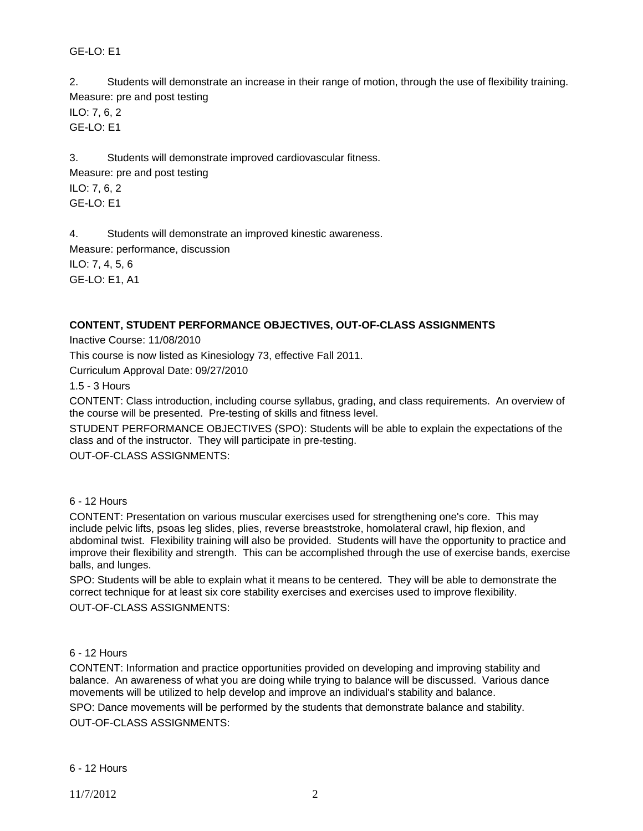GE-LO: E1

2. Students will demonstrate an increase in their range of motion, through the use of flexibility training. Measure: pre and post testing

ILO: 7, 6, 2 GE-LO: E1

3. Students will demonstrate improved cardiovascular fitness. Measure: pre and post testing ILO: 7, 6, 2  $GF-I O· F1$ 

4. Students will demonstrate an improved kinestic awareness.

Measure: performance, discussion

ILO: 7, 4, 5, 6 GE-LO: E1, A1

# **CONTENT, STUDENT PERFORMANCE OBJECTIVES, OUT-OF-CLASS ASSIGNMENTS**

Inactive Course: 11/08/2010

This course is now listed as Kinesiology 73, effective Fall 2011.

Curriculum Approval Date: 09/27/2010

1.5 - 3 Hours

CONTENT: Class introduction, including course syllabus, grading, and class requirements. An overview of the course will be presented. Pre-testing of skills and fitness level.

STUDENT PERFORMANCE OBJECTIVES (SPO): Students will be able to explain the expectations of the class and of the instructor. They will participate in pre-testing.

OUT-OF-CLASS ASSIGNMENTS:

## 6 - 12 Hours

CONTENT: Presentation on various muscular exercises used for strengthening one's core. This may include pelvic lifts, psoas leg slides, plies, reverse breaststroke, homolateral crawl, hip flexion, and abdominal twist. Flexibility training will also be provided. Students will have the opportunity to practice and improve their flexibility and strength. This can be accomplished through the use of exercise bands, exercise balls, and lunges.

SPO: Students will be able to explain what it means to be centered. They will be able to demonstrate the correct technique for at least six core stability exercises and exercises used to improve flexibility. OUT-OF-CLASS ASSIGNMENTS:

## 6 - 12 Hours

CONTENT: Information and practice opportunities provided on developing and improving stability and balance. An awareness of what you are doing while trying to balance will be discussed. Various dance movements will be utilized to help develop and improve an individual's stability and balance. SPO: Dance movements will be performed by the students that demonstrate balance and stability. OUT-OF-CLASS ASSIGNMENTS: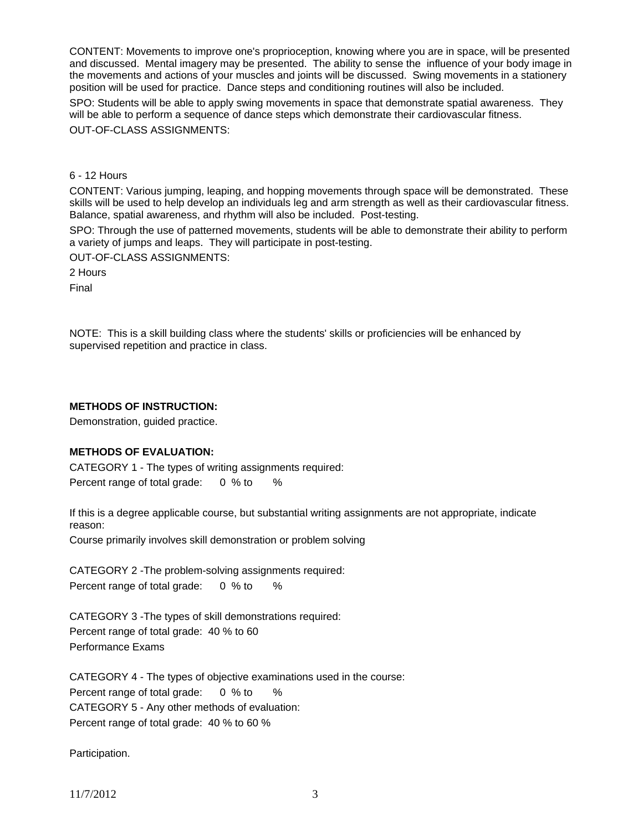CONTENT: Movements to improve one's proprioception, knowing where you are in space, will be presented and discussed. Mental imagery may be presented. The ability to sense the influence of your body image in the movements and actions of your muscles and joints will be discussed. Swing movements in a stationery position will be used for practice. Dance steps and conditioning routines will also be included.

SPO: Students will be able to apply swing movements in space that demonstrate spatial awareness. They will be able to perform a sequence of dance steps which demonstrate their cardiovascular fitness. OUT-OF-CLASS ASSIGNMENTS:

6 - 12 Hours

CONTENT: Various jumping, leaping, and hopping movements through space will be demonstrated. These skills will be used to help develop an individuals leg and arm strength as well as their cardiovascular fitness. Balance, spatial awareness, and rhythm will also be included. Post-testing.

SPO: Through the use of patterned movements, students will be able to demonstrate their ability to perform a variety of jumps and leaps. They will participate in post-testing.

OUT-OF-CLASS ASSIGNMENTS:

2 Hours

Final

NOTE: This is a skill building class where the students' skills or proficiencies will be enhanced by supervised repetition and practice in class.

#### **METHODS OF INSTRUCTION:**

Demonstration, guided practice.

## **METHODS OF EVALUATION:**

CATEGORY 1 - The types of writing assignments required: Percent range of total grade: 0 % to %

If this is a degree applicable course, but substantial writing assignments are not appropriate, indicate reason:

Course primarily involves skill demonstration or problem solving

CATEGORY 2 -The problem-solving assignments required: Percent range of total grade: 0 % to %

CATEGORY 3 -The types of skill demonstrations required: Percent range of total grade: 40 % to 60 Performance Exams

CATEGORY 4 - The types of objective examinations used in the course: Percent range of total grade: 0 % to % CATEGORY 5 - Any other methods of evaluation: Percent range of total grade: 40 % to 60 %

Participation.